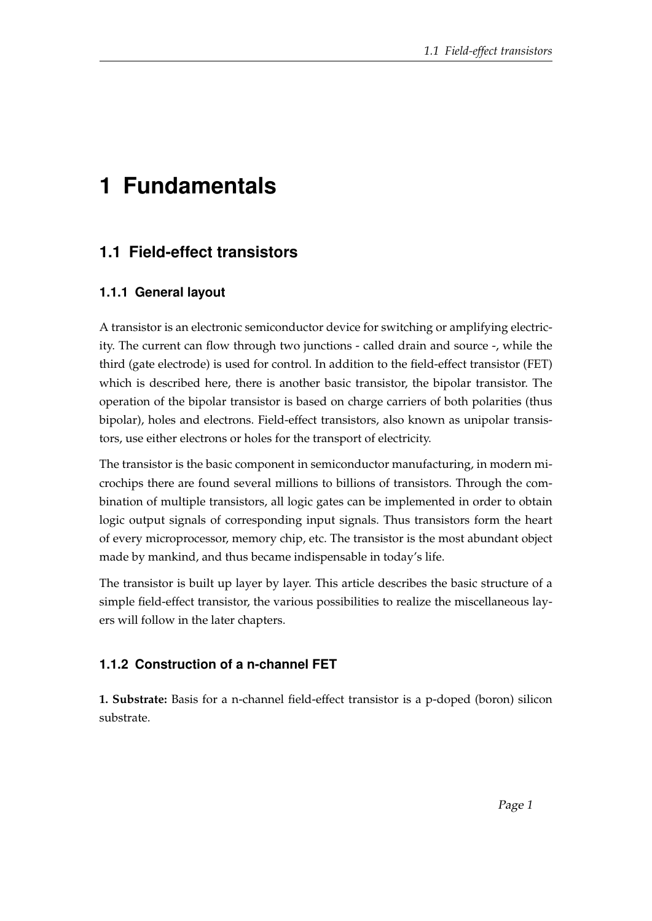# **1 Fundamentals**

# **1.1 Field-effect transistors**

## **1.1.1 General layout**

A transistor is an electronic semiconductor device for switching or amplifying electricity. The current can flow through two junctions - called drain and source -, while the third (gate electrode) is used for control. In addition to the field-effect transistor (FET) which is described here, there is another basic transistor, the bipolar transistor. The operation of the bipolar transistor is based on charge carriers of both polarities (thus bipolar), holes and electrons. Field-effect transistors, also known as unipolar transistors, use either electrons or holes for the transport of electricity.

The transistor is the basic component in semiconductor manufacturing, in modern microchips there are found several millions to billions of transistors. Through the combination of multiple transistors, all logic gates can be implemented in order to obtain logic output signals of corresponding input signals. Thus transistors form the heart of every microprocessor, memory chip, etc. The transistor is the most abundant object made by mankind, and thus became indispensable in today's life.

The transistor is built up layer by layer. This article describes the basic structure of a simple field-effect transistor, the various possibilities to realize the miscellaneous layers will follow in the later chapters.

## **1.1.2 Construction of a n-channel FET**

**1. Substrate:** Basis for a n-channel field-effect transistor is a p-doped (boron) silicon substrate.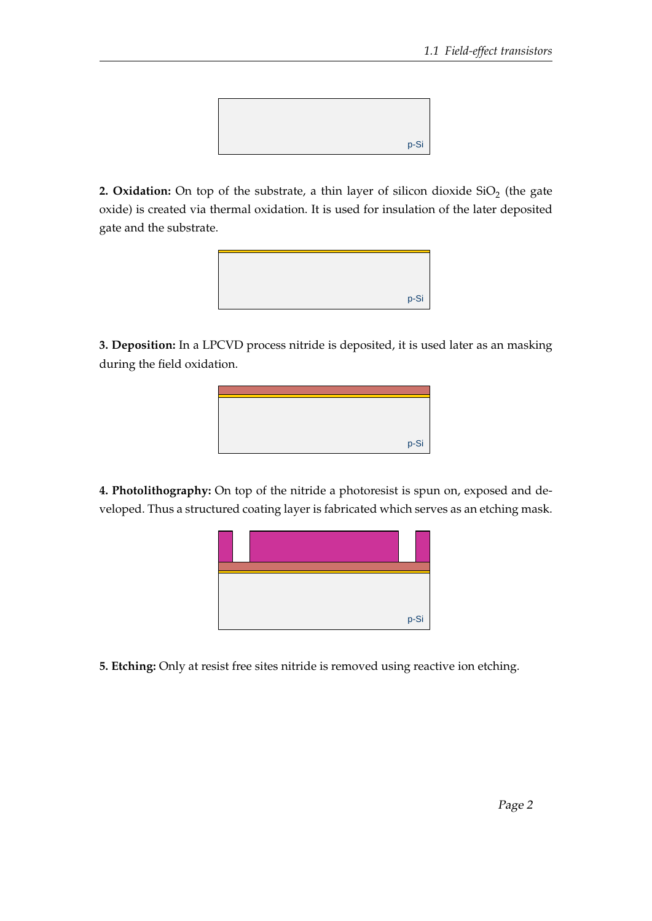

**2. Oxidation:** On top of the substrate, a thin layer of silicon dioxide  $\mathrm{SiO}_2$  (the gate oxide) is created via thermal oxidation. It is used for insulation of the later deposited gate and the substrate.



**3. Deposition:** In a LPCVD process nitride is deposited, it is used later as an masking during the field oxidation.



**4. Photolithography:** On top of the nitride a photoresist is spun on, exposed and developed. Thus a structured coating layer is fabricated which serves as an etching mask.



**5. Etching:** Only at resist free sites nitride is removed using reactive ion etching.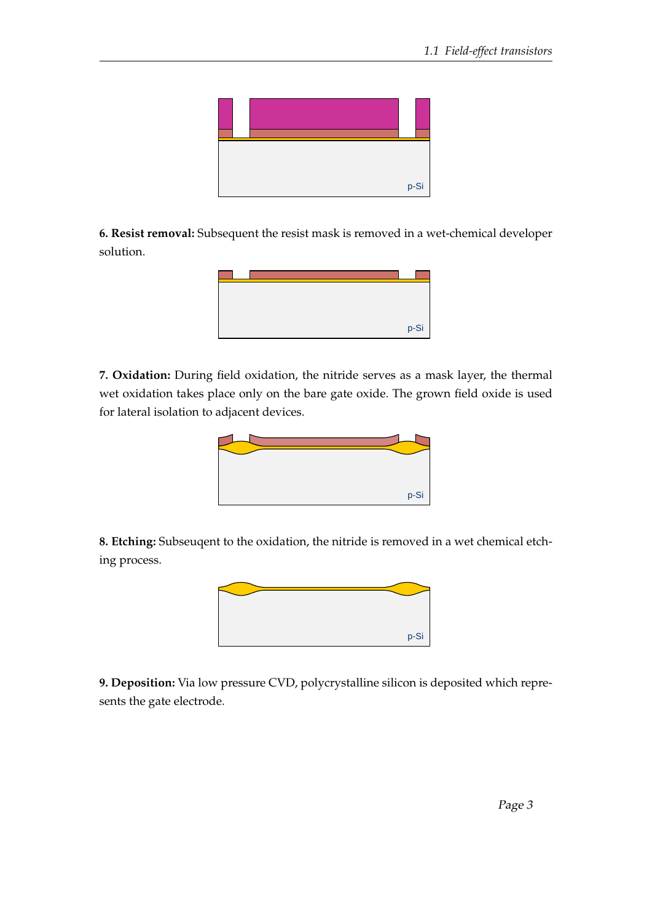

**6. Resist removal:** Subsequent the resist mask is removed in a wet-chemical developer solution.



**7. Oxidation:** During field oxidation, the nitride serves as a mask layer, the thermal wet oxidation takes place only on the bare gate oxide. The grown field oxide is used for lateral isolation to adjacent devices.

![](_page_2_Picture_5.jpeg)

**8. Etching:** Subseuqent to the oxidation, the nitride is removed in a wet chemical etching process.

![](_page_2_Picture_7.jpeg)

**9. Deposition:** Via low pressure CVD, polycrystalline silicon is deposited which represents the gate electrode.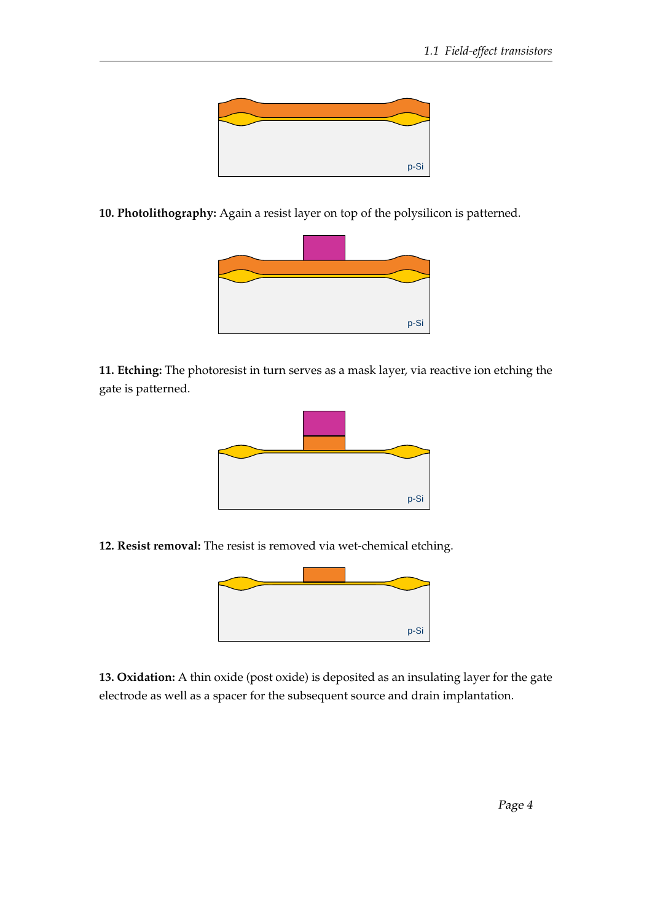![](_page_3_Picture_1.jpeg)

**10. Photolithography:** Again a resist layer on top of the polysilicon is patterned.

![](_page_3_Picture_3.jpeg)

**11. Etching:** The photoresist in turn serves as a mask layer, via reactive ion etching the gate is patterned.

![](_page_3_Figure_5.jpeg)

**12. Resist removal:** The resist is removed via wet-chemical etching.

![](_page_3_Picture_7.jpeg)

**13. Oxidation:** A thin oxide (post oxide) is deposited as an insulating layer for the gate electrode as well as a spacer for the subsequent source and drain implantation.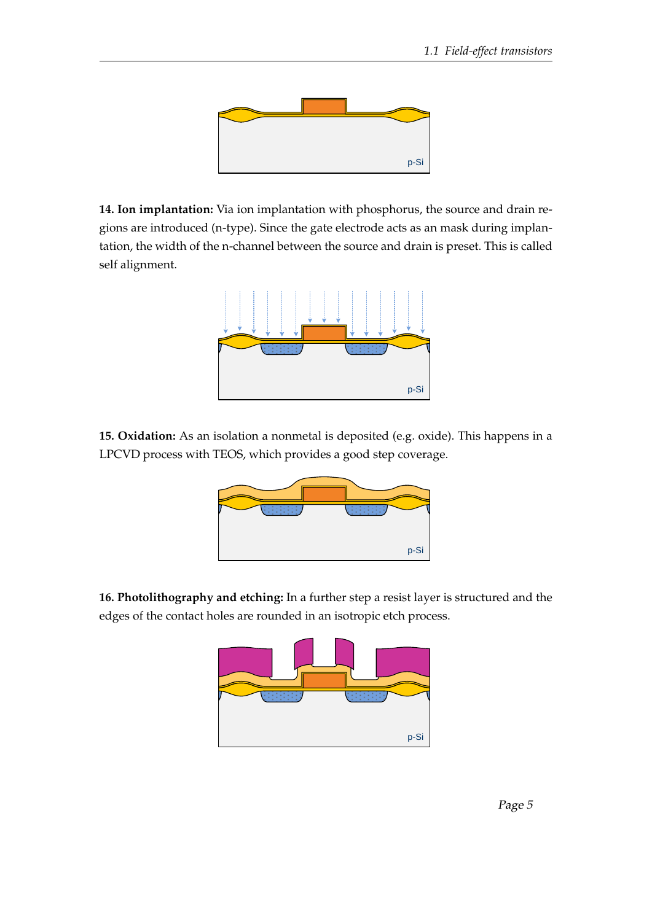![](_page_4_Picture_1.jpeg)

**14. Ion implantation:** Via ion implantation with phosphorus, the source and drain regions are introduced (n-type). Since the gate electrode acts as an mask during implantation, the width of the n-channel between the source and drain is preset. This is called self alignment.

![](_page_4_Figure_3.jpeg)

**15. Oxidation:** As an isolation a nonmetal is deposited (e.g. oxide). This happens in a LPCVD process with TEOS, which provides a good step coverage.

![](_page_4_Figure_5.jpeg)

**16. Photolithography and etching:** In a further step a resist layer is structured and the edges of the contact holes are rounded in an isotropic etch process.

![](_page_4_Figure_7.jpeg)

Page 5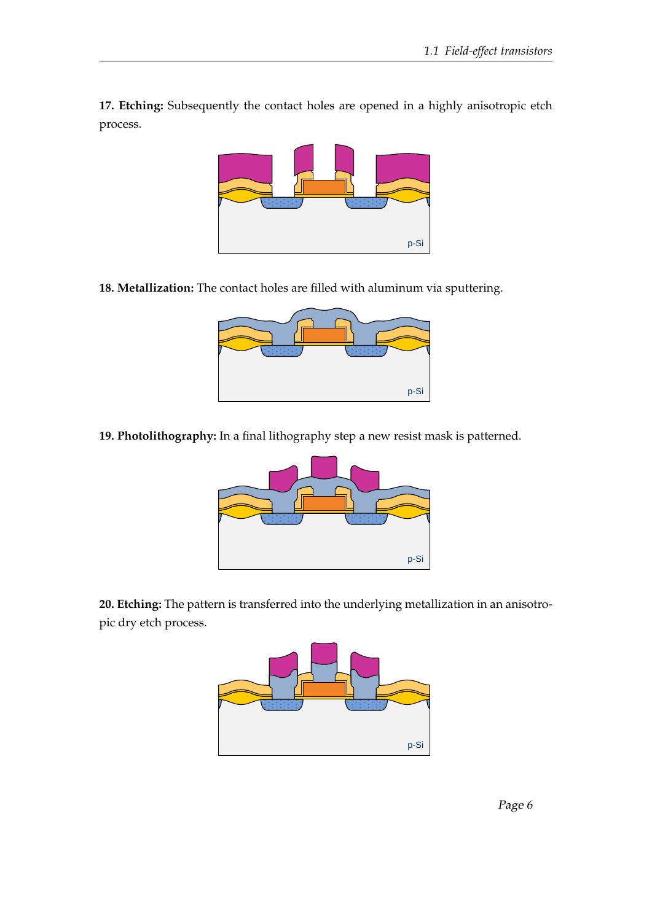**17. Etching:** Subsequently the contact holes are opened in a highly anisotropic etch process.

![](_page_5_Picture_2.jpeg)

**18. Metallization:** The contact holes are filled with aluminum via sputtering.

| p-Si |
|------|

**19. Photolithography:** In a final lithography step a new resist mask is patterned.

![](_page_5_Figure_6.jpeg)

**20. Etching:** The pattern is transferred into the underlying metallization in an anisotropic dry etch process.

![](_page_5_Figure_8.jpeg)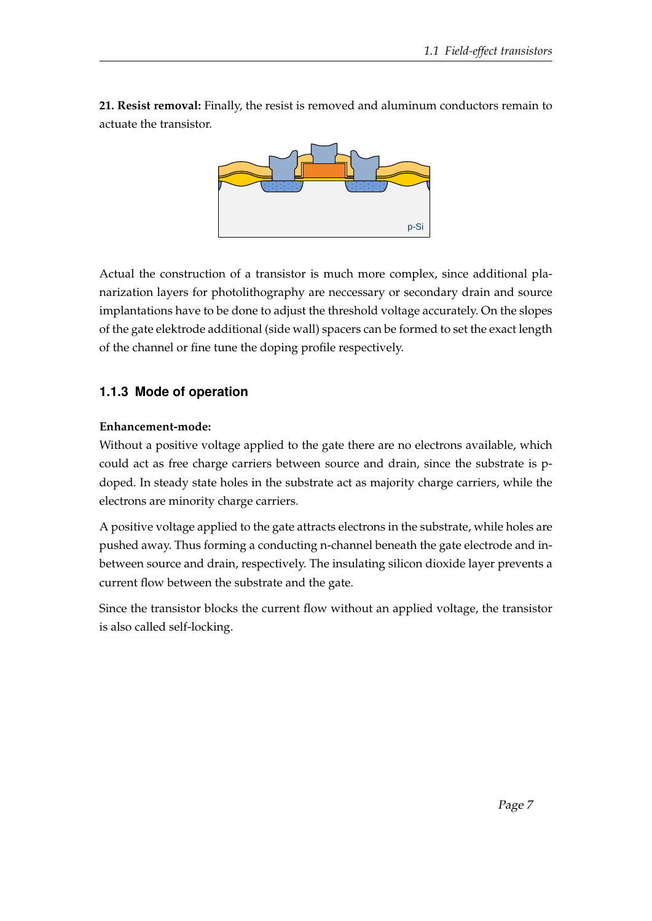**21. Resist removal:** Finally, the resist is removed and aluminum conductors remain to actuate the transistor.

![](_page_6_Figure_2.jpeg)

Actual the construction of a transistor is much more complex, since additional planarization layers for photolithography are neccessary or secondary drain and source implantations have to be done to adjust the threshold voltage accurately. On the slopes of the gate elektrode additional (side wall) spacers can be formed to set the exact length of the channel or fine tune the doping profile respectively.

## **1.1.3 Mode of operation**

#### **Enhancement-mode:**

Without a positive voltage applied to the gate there are no electrons available, which could act as free charge carriers between source and drain, since the substrate is pdoped. In steady state holes in the substrate act as majority charge carriers, while the electrons are minority charge carriers.

A positive voltage applied to the gate attracts electrons in the substrate, while holes are pushed away. Thus forming a conducting n-channel beneath the gate electrode and inbetween source and drain, respectively. The insulating silicon dioxide layer prevents a current flow between the substrate and the gate.

Since the transistor blocks the current flow without an applied voltage, the transistor is also called self-locking.